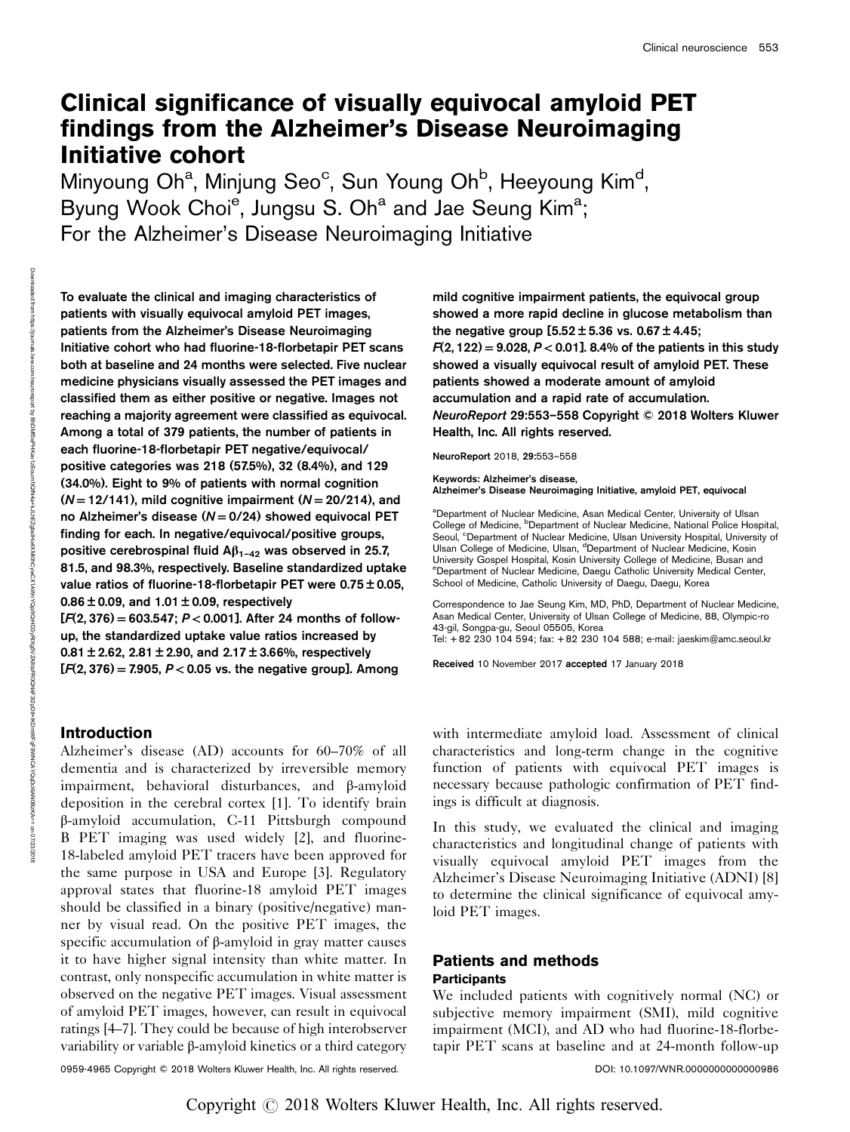# Clinical significance of visually equivocal amyloid PET findings from the Alzheimer's Disease Neuroimaging Initiative cohort

Minyoung Oh<sup>a</sup>, Minjung Seo<sup>c</sup>, Sun Young Oh<sup>b</sup>, Heeyoung Kim<sup>d</sup>, Byung Wook Choi<sup>e</sup>, Jungsu S. Oh<sup>a</sup> and Jae Seung Kim<sup>a</sup>; For the Alzheimer's Disease Neuroimaging Initiative

To evaluate the clinical and imaging characteristics of patients with visually equivocal amyloid PET images, patients from the Alzheimer's Disease Neuroimaging Initiative cohort who had fluorine-18-florbetapir PET scans both at baseline and 24 months were selected. Five nuclear medicine physicians visually assessed the PET images and classified them as either positive or negative. Images not reaching a majority agreement were classified as equivocal. Among a total of 379 patients, the number of patients in each fluorine-18-florbetapir PET negative/equivocal/ positive categories was 218 (57.5%), 32 (8.4%), and 129 (34.0%). Eight to 9% of patients with normal cognition  $(N = 12/141)$ , mild cognitive impairment  $(N = 20/214)$ , and no Alzheimer's disease ( $N = 0/24$ ) showed equivocal PET finding for each. In negative/equivocal/positive groups, positive cerebrospinal fluid  $Aβ_{1-42}$  was observed in 25.7, 81.5, and 98.3%, respectively. Baseline standardized uptake value ratios of fluorine-18-florbetapir PET were 0.75 ± 0.05,  $0.86 \pm 0.09$ , and  $1.01 \pm 0.09$ , respectively  $[F(2, 376) = 603.547$ ;  $P < 0.001$ ]. After 24 months of follow-

up, the standardized uptake value ratios increased by 0.81  $\pm$  2.62, 2.81  $\pm$  2.90, and 2.17  $\pm$  3.66%, respectively  $[F(2, 376) = 7.905, P < 0.05$  vs. the negative group]. Among

# Introduction

Alzheimer's disease (AD) accounts for 60–70% of all dementia and is characterized by irreversible memory impairment, behavioral disturbances, and β-amyloid deposition in the cerebral cortex [1]. To identify brain β-amyloid accumulation, C-11 Pittsburgh compound B PET imaging was used widely [2], and fluorine-18-labeled amyloid PET tracers have been approved for the same purpose in USA and Europe [3]. Regulatory approval states that fluorine-18 amyloid PET images should be classified in a binary (positive/negative) manner by visual read. On the positive PET images, the specific accumulation of β-amyloid in gray matter causes it to have higher signal intensity than white matter. In contrast, only nonspecific accumulation in white matter is observed on the negative PET images. Visual assessment of amyloid PET images, however, can result in equivocal ratings [4–7]. They could be because of high interobserver variability or variable β-amyloid kinetics or a third category

mild cognitive impairment patients, the equivocal group showed a more rapid decline in glucose metabolism than the negative group  $[5.52 \pm 5.36$  vs. 0.67  $\pm$  4.45;  $F(2, 122) = 9.028, P < 0.01$ ]. 8.4% of the patients in this study showed a visually equivocal result of amyloid PET. These patients showed a moderate amount of amyloid accumulation and a rapid rate of accumulation. NeuroReport 29:553–558 Copyright © 2018 Wolters Kluwer Health, Inc. All rights reserved.

NeuroReport 2018, 29:553–558

Keywords: Alzheimer's disease, Alzheimer's Disease Neuroimaging Initiative, amyloid PET, equivocal

<sup>a</sup>Department of Nuclear Medicine, Asan Medical Center, University of Ulsan College of Medicine, <sup>b</sup>Department of Nuclear Medicine, National Police Hospital, Seoul, <sup>c</sup>Department of Nuclear Medicine, Ulsan University Hospital, University of Ulsan College of Medicine, Ulsan, <sup>d</sup>Department of Nuclear Medicine, Kosin University Gospel Hospital, Kosin University College of Medicine, Busan and e Department of Nuclear Medicine, Daegu Catholic University Medical Center, School of Medicine, Catholic University of Daegu, Daegu, Korea

Correspondence to Jae Seung Kim, MD, PhD, Department of Nuclear Medicine, Asan Medical Center, University of Ulsan College of Medicine, 88, Olympic-ro 43-gil, Songpa-gu, Seoul 05505, Korea

Tel: + 82 230 104 594; fax: + 82 230 104 588; e-mail: [jaeskim@amc.seoul.kr](mailto:jaeskim@amc.seoul.kr)

Received 10 November 2017 accepted 17 January 2018

with intermediate amyloid load. Assessment of clinical characteristics and long-term change in the cognitive function of patients with equivocal PET images is necessary because pathologic confirmation of PET findings is difficult at diagnosis.

In this study, we evaluated the clinical and imaging characteristics and longitudinal change of patients with visually equivocal amyloid PET images from the Alzheimer's Disease Neuroimaging Initiative (ADNI) [8] to determine the clinical significance of equivocal amyloid PET images.

# Patients and methods **Participants**

We included patients with cognitively normal (NC) or subjective memory impairment (SMI), mild cognitive impairment (MCI), and AD who had fluorine-18-florbetapir PET scans at baseline and at 24-month follow-up

0959-4965 Copyright © 2018 Wolters Kluwer Health, Inc. All rights reserved. DOI: 10.1097/WNR.0000000000000986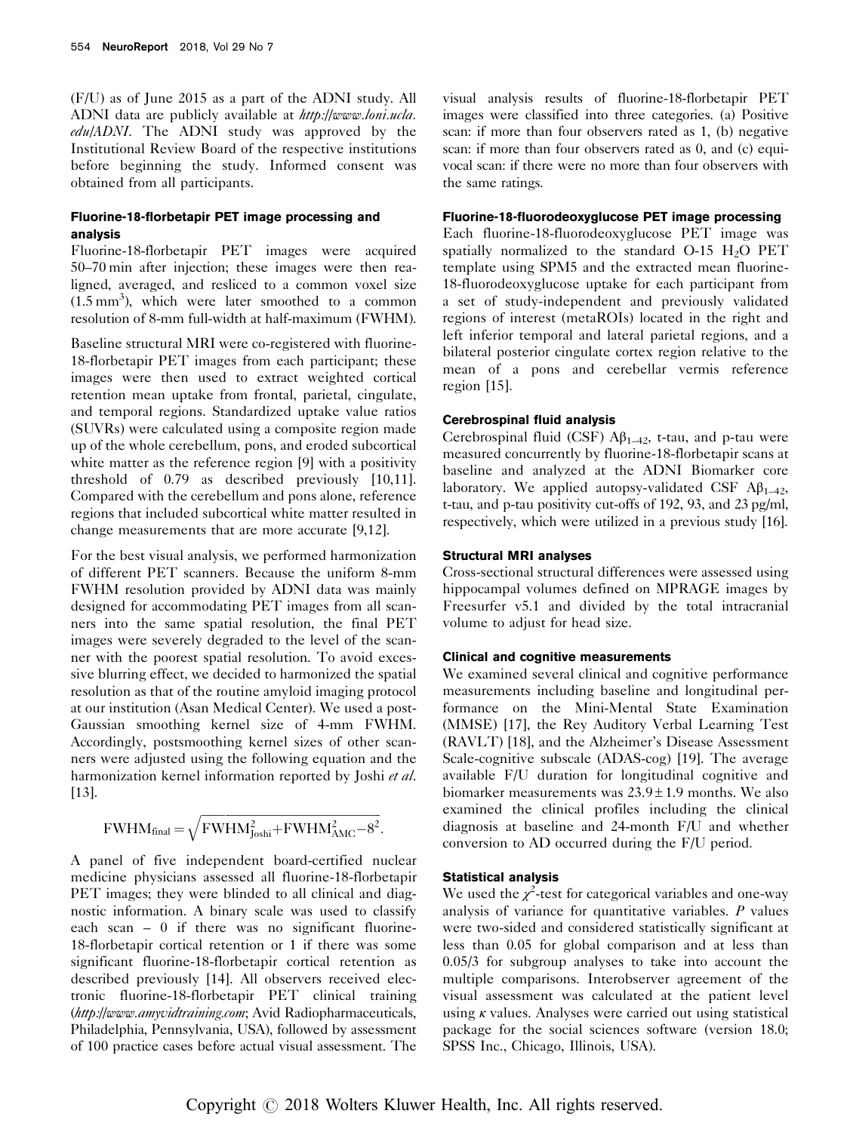(F/U) as of June 2015 as a part of the ADNI study. All ADNI data are publicly available at [http://www.loni.ucla.](http://www.loni.ucla.edu/ADNI) [edu/ADNI](http://www.loni.ucla.edu/ADNI). The ADNI study was approved by the Institutional Review Board of the respective institutions before beginning the study. Informed consent was obtained from all participants.

# Fluorine-18-florbetapir PET image processing and analysis

Fluorine-18-florbetapir PET images were acquired 50–70 min after injection; these images were then realigned, averaged, and resliced to a common voxel size  $(1.5 \text{ mm}^3)$ , which were later smoothed to a common resolution of 8-mm full-width at half-maximum (FWHM).

Baseline structural MRI were co-registered with fluorine-18-florbetapir PET images from each participant; these images were then used to extract weighted cortical retention mean uptake from frontal, parietal, cingulate, and temporal regions. Standardized uptake value ratios (SUVRs) were calculated using a composite region made up of the whole cerebellum, pons, and eroded subcortical white matter as the reference region [9] with a positivity threshold of 0.79 as described previously [10,11]. Compared with the cerebellum and pons alone, reference regions that included subcortical white matter resulted in change measurements that are more accurate [9,12].

For the best visual analysis, we performed harmonization of different PET scanners. Because the uniform 8-mm FWHM resolution provided by ADNI data was mainly designed for accommodating PET images from all scanners into the same spatial resolution, the final PET images were severely degraded to the level of the scanner with the poorest spatial resolution. To avoid excessive blurring effect, we decided to harmonized the spatial resolution as that of the routine amyloid imaging protocol at our institution (Asan Medical Center). We used a post-Gaussian smoothing kernel size of 4-mm FWHM. Accordingly, postsmoothing kernel sizes of other scanners were adjusted using the following equation and the harmonization kernel information reported by Joshi et al. [13].

$$
FWHM_{final} = \sqrt{FWHM_{Joshi}^2 + FWHM_{AMC}^2 - 8^2}.
$$

A panel of five independent board-certified nuclear medicine physicians assessed all fluorine-18-florbetapir PET images; they were blinded to all clinical and diagnostic information. A binary scale was used to classify each scan – 0 if there was no significant fluorine-18-florbetapir cortical retention or 1 if there was some significant fluorine-18-florbetapir cortical retention as described previously [14]. All observers received electronic fluorine-18-florbetapir PET clinical training (<http://www.amyvidtraining.com>; Avid Radiopharmaceuticals, Philadelphia, Pennsylvania, USA), followed by assessment of 100 practice cases before actual visual assessment. The

visual analysis results of fluorine-18-florbetapir PET images were classified into three categories. (a) Positive scan: if more than four observers rated as 1, (b) negative scan: if more than four observers rated as 0, and (c) equivocal scan: if there were no more than four observers with the same ratings.

## Fluorine-18-fluorodeoxyglucose PET image processing

Each fluorine-18-fluorodeoxyglucose PET image was spatially normalized to the standard  $O-15$   $H<sub>2</sub>O$  PET template using SPM5 and the extracted mean fluorine-18-fluorodeoxyglucose uptake for each participant from a set of study-independent and previously validated regions of interest (metaROIs) located in the right and left inferior temporal and lateral parietal regions, and a bilateral posterior cingulate cortex region relative to the mean of a pons and cerebellar vermis reference region [15].

#### Cerebrospinal fluid analysis

Cerebrospinal fluid (CSF)  $\mathbf{A}\beta_{1-42}$ , t-tau, and p-tau were measured concurrently by fluorine-18-florbetapir scans at baseline and analyzed at the ADNI Biomarker core laboratory. We applied autopsy-validated CSF  $\mathbf{A}\beta_{1-42}$ , t-tau, and p-tau positivity cut-offs of 192, 93, and 23 pg/ml, respectively, which were utilized in a previous study [16].

#### Structural MRI analyses

Cross-sectional structural differences were assessed using hippocampal volumes defined on MPRAGE images by Freesurfer v5.1 and divided by the total intracranial volume to adjust for head size.

#### Clinical and cognitive measurements

We examined several clinical and cognitive performance measurements including baseline and longitudinal performance on the Mini-Mental State Examination (MMSE) [17], the Rey Auditory Verbal Learning Test (RAVLT) [18], and the Alzheimer's Disease Assessment Scale-cognitive subscale (ADAS-cog) [19]. The average available F/U duration for longitudinal cognitive and biomarker measurements was  $23.9 \pm 1.9$  months. We also examined the clinical profiles including the clinical diagnosis at baseline and 24-month F/U and whether conversion to AD occurred during the F/U period.

#### Statistical analysis

We used the  $\chi^2$ -test for categorical variables and one-way analysis of variance for quantitative variables. P values were two-sided and considered statistically significant at less than 0.05 for global comparison and at less than 0.05/3 for subgroup analyses to take into account the multiple comparisons. Interobserver agreement of the visual assessment was calculated at the patient level using  $\kappa$  values. Analyses were carried out using statistical package for the social sciences software (version 18.0; SPSS Inc., Chicago, Illinois, USA).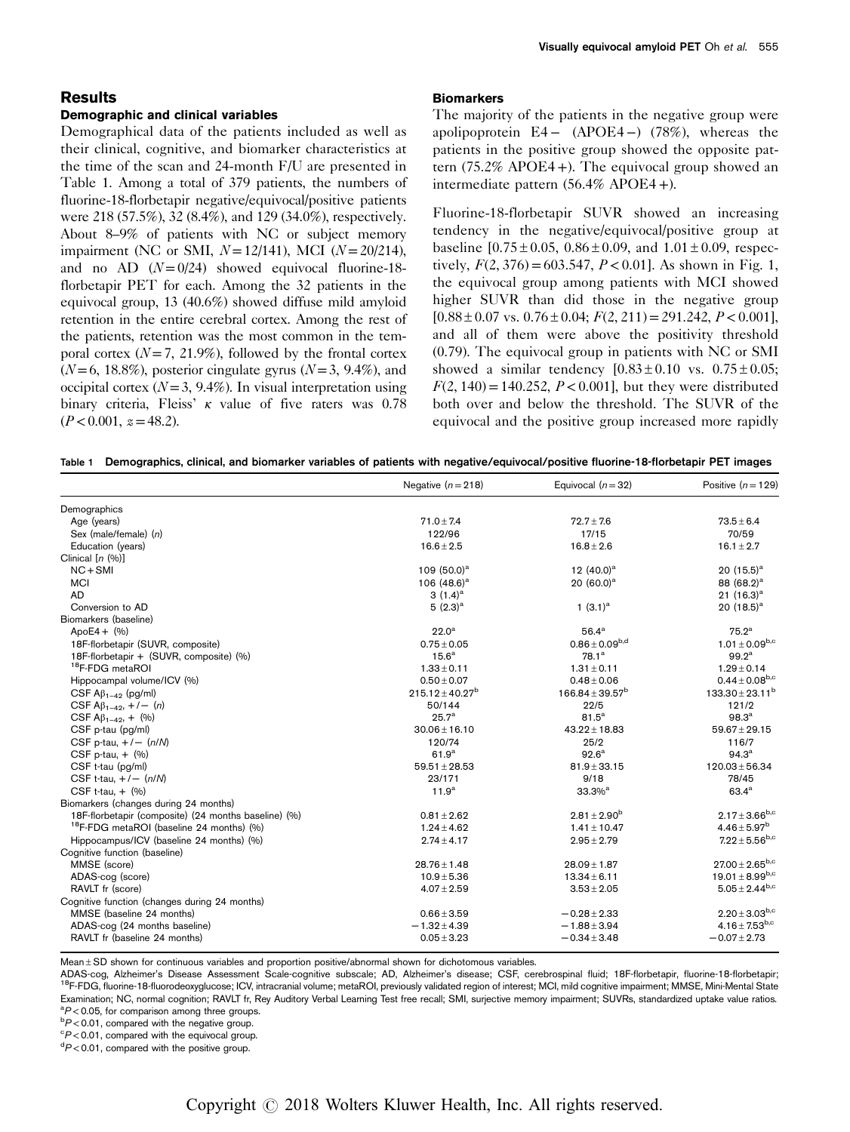## Results Demographic and clinical variables

Demographical data of the patients included as well as their clinical, cognitive, and biomarker characteristics at the time of the scan and 24-month F/U are presented in Table 1. Among a total of 379 patients, the numbers of fluorine-18-florbetapir negative/equivocal/positive patients were 218 (57.5%), 32 (8.4%), and 129 (34.0%), respectively. About 8–9% of patients with NC or subject memory impairment (NC or SMI,  $N = 12/141$ ), MCI ( $N = 20/214$ ), and no AD  $(N=0/24)$  showed equivocal fluorine-18florbetapir PET for each. Among the 32 patients in the equivocal group, 13 (40.6%) showed diffuse mild amyloid retention in the entire cerebral cortex. Among the rest of the patients, retention was the most common in the temporal cortex  $(N=7, 21.9\%)$ , followed by the frontal cortex  $(N=6, 18.8\%)$ , posterior cingulate gyrus  $(N=3, 9.4\%)$ , and occipital cortex  $(N=3, 9.4\%)$ . In visual interpretation using binary criteria, Fleiss' κ value of five raters was 0.78  $(P<0.001, z=48.2)$ .

#### **Biomarkers**

The majority of the patients in the negative group were apolipoprotein E4 − (APOE4−) (78%), whereas the patients in the positive group showed the opposite pattern  $(75.2\% \text{ APOE4+})$ . The equivocal group showed an intermediate pattern (56.4% APOE4 +).

Fluorine-18-florbetapir SUVR showed an increasing tendency in the negative/equivocal/positive group at baseline  $[0.75 \pm 0.05, 0.86 \pm 0.09, \text{ and } 1.01 \pm 0.09, \text{ respectively}$ tively,  $F(2, 376) = 603.547$ ,  $P < 0.01$ ]. As shown in Fig. 1, the equivocal group among patients with MCI showed higher SUVR than did those in the negative group  $[0.88 \pm 0.07 \text{ vs. } 0.76 \pm 0.04; F(2, 211) = 291.242, P < 0.001]$ , and all of them were above the positivity threshold (0.79). The equivocal group in patients with NC or SMI showed a similar tendency  $[0.83 \pm 0.10$  vs.  $0.75 \pm 0.05$ ;  $F(2, 140) = 140.252, P < 0.001$ , but they were distributed both over and below the threshold. The SUVR of the equivocal and the positive group increased more rapidly

|  |  |  | Table 1 Demographics, clinical, and biomarker variables of patients with negative/equivocal/positive fluorine-18-florbetapir PET images |
|--|--|--|-----------------------------------------------------------------------------------------------------------------------------------------|
|  |  |  |                                                                                                                                         |

|                                                      | Negative $(n=218)$   | Equivocal $(n=32)$      | Positive $(n = 129)$            |
|------------------------------------------------------|----------------------|-------------------------|---------------------------------|
| Demographics                                         |                      |                         |                                 |
| Age (years)                                          | $71.0 \pm 7.4$       | $72.7 \pm 7.6$          | $73.5 \pm 6.4$                  |
| Sex (male/female) (n)                                | 122/96               | 17/15                   | 70/59                           |
| Education (years)                                    | $16.6 \pm 2.5$       | $16.8 \pm 2.6$          | $16.1 \pm 2.7$                  |
| Clinical $[n (%)]$                                   |                      |                         |                                 |
| $NC + SMI$                                           | 109 $(50.0)^a$       | 12 $(40.0)^a$           | 20 $(15.5)^a$                   |
| <b>MCI</b>                                           | 106 $(48.6)^a$       | 20 $(60.0)^a$           | 88 (68.2) <sup>a</sup>          |
| <b>AD</b>                                            | 3 $(1.4)^a$          |                         | 21 $(16.3)^a$                   |
| Conversion to AD                                     | $5(2.3)^a$           | 1 $(3.1)^a$             | 20 $(18.5)^a$                   |
| Biomarkers (baseline)                                |                      |                         |                                 |
| $ApoE4 + (%)$                                        | 22.0 <sup>a</sup>    | 56.4 <sup>a</sup>       | 75.2 <sup>a</sup>               |
| 18F-florbetapir (SUVR, composite)                    | $0.75 \pm 0.05$      | $0.86 \pm 0.09^{b,d}$   | $1.01 \pm 0.09^{b,c}$           |
| 18F-florbetapir + (SUVR, composite) (%)              | 15.6 <sup>a</sup>    | $78.1^{\circ}$          | $99.2^{\rm a}$                  |
| <sup>18</sup> F-FDG metaROI                          | $1.33 \pm 0.11$      | $1.31 \pm 0.11$         | $1.29 \pm 0.14$                 |
| Hippocampal volume/ICV (%)                           | $0.50 \pm 0.07$      | $0.48 \pm 0.06$         | $0.44 \pm 0.08^{b,c}$           |
| CSF $\mathsf{A}\beta_{1-42}$ (pg/ml)                 | $215.12 \pm 40.27^b$ | $166.84 \pm 39.57^b$    | $133.30 \pm 23.11^b$            |
| CSF A $\beta_{1-42}$ , +/- (n)                       | 50/144               | 22/5                    | 121/2                           |
| CSF $A\beta_{1-42}$ , + (%)                          | 25.7 <sup>a</sup>    | $81.5^a$                | 98.3 <sup>a</sup>               |
| CSF p-tau (pg/ml)                                    | $30.06 \pm 16.10$    | $43.22 \pm 18.83$       | $59.67 \pm 29.15$               |
| CSF p-tau, $+/-$ (n/N)                               | 120/74               | 25/2                    | 116/7                           |
| CSF p-tau, $+$ $(\%)$                                | 61.9 <sup>a</sup>    | 92.6 <sup>a</sup>       | 94.3 <sup>a</sup>               |
| CSF t-tau (pg/ml)                                    | $59.51 \pm 28.53$    | $81.9 \pm 33.15$        | $120.03 \pm 56.34$              |
| CSF t-tau, $+/-$ (n/N)                               | 23/171               | 9/18                    | 78/45                           |
| CSF t-tau, $+$ $(\% )$                               | 11.9 <sup>a</sup>    | $33.3\%$ <sup>a</sup>   | $63.4^{\circ}$                  |
| Biomarkers (changes during 24 months)                |                      |                         |                                 |
| 18F-florbetapir (composite) (24 months baseline) (%) | $0.81 \pm 2.62$      | $2.81 \pm 2.90^{\rm b}$ | $2.17 \pm 3.66^{b,c}$           |
| <sup>18</sup> F-FDG metaROI (baseline 24 months) (%) | $1.24 \pm 4.62$      | $1.41 \pm 10.47$        | $4.46 \pm 5.97^b$               |
| Hippocampus/ICV (baseline 24 months) (%)             | $2.74 \pm 4.17$      | $2.95 \pm 2.79$         | $7.22 \pm 5.56^{b,c}$           |
| Cognitive function (baseline)                        |                      |                         |                                 |
| MMSE (score)                                         | $28.76 \pm 1.48$     | $28.09 \pm 1.87$        | $27.00 \pm 2.65^{b,c}$          |
| ADAS-cog (score)                                     | $10.9 \pm 5.36$      | $13.34 \pm 6.11$        | 19.01 $\pm$ 8.99 <sup>b,c</sup> |
| RAVLT fr (score)                                     | $4.07 \pm 2.59$      | $3.53 \pm 2.05$         | $5.05 \pm 2.44^{b,c}$           |
| Cognitive function (changes during 24 months)        |                      |                         |                                 |
| MMSE (baseline 24 months)                            | $0.66 \pm 3.59$      | $-0.28 \pm 2.33$        | $2.20 \pm 3.03^{b,c}$           |
| ADAS-cog (24 months baseline)                        | $-1.32 \pm 4.39$     | $-1.88 \pm 3.94$        | $4.16 \pm 7.53^{b,c}$           |
| RAVLT fr (baseline 24 months)                        | $0.05 \pm 3.23$      | $-0.34 \pm 3.48$        | $-0.07 \pm 2.73$                |

Mean±SD shown for continuous variables and proportion positive/abnormal shown for dichotomous variables.<br>ADAS-cog, Alzheimer's Disease Assessment Scale-cognitive subscale; AD, Alzheimer's disease; CSF, cerebrospinal fluid; <sup>18</sup>F-FDG, fluorine-18-fluorodeoxyglucose; ICV, intracranial volume; metaROI, previously validated region of interest; MCI, mild cognitive impairment; MMSE, Mini-Mental State Examination; NC, normal cognition; RAVLT fr, Rey Auditory Verbal Learning Test free recall; SMI, surjective memory impairment; SUVRs, standardized uptake value ratios.  ${}^{a}P$  < 0.05, for comparison among three groups.

 $\rm ^bP\,{<}\,0.01,$  compared with the negative group.

 $\degree$ P < 0.01, compared with the equivocal group.

 $\mathrm{^{d}P}$  < 0.01, compared with the positive group.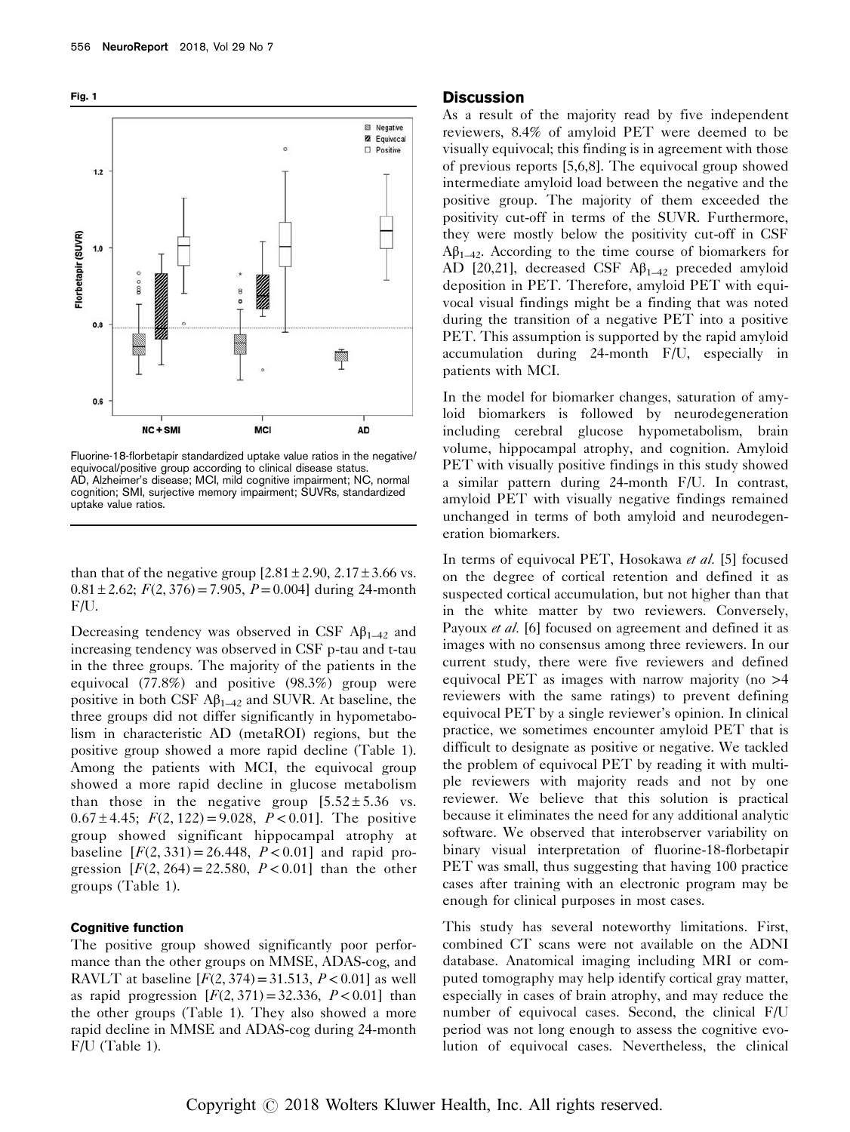



Fluorine-18-florbetapir standardized uptake value ratios in the negative/ equivocal/positive group according to clinical disease status. AD, Alzheimer's disease; MCI, mild cognitive impairment; NC, normal cognition; SMI, surjective memory impairment; SUVRs, standardized uptake value ratios.

than that of the negative group  $[2.81 \pm 2.90, 2.17 \pm 3.66 \text{ vs.}$  $0.81 \pm 2.62$ ;  $F(2, 376) = 7.905$ ,  $P = 0.004$ ] during 24-month F/U.

Decreasing tendency was observed in CSF  $\mathbf{A}\mathbf{\beta}_{1-42}$  and increasing tendency was observed in CSF p-tau and t-tau in the three groups. The majority of the patients in the equivocal (77.8%) and positive (98.3%) group were positive in both CSF  $\mathbf{A}\beta_{1-42}$  and SUVR. At baseline, the three groups did not differ significantly in hypometabolism in characteristic AD (metaROI) regions, but the positive group showed a more rapid decline (Table 1). Among the patients with MCI, the equivocal group showed a more rapid decline in glucose metabolism than those in the negative group  $[5.52 \pm 5.36$  vs.  $0.67 \pm 4.45$ ;  $F(2, 122) = 9.028$ ,  $P < 0.01$ ]. The positive group showed significant hippocampal atrophy at baseline  $[F(2, 331) = 26.448, P < 0.01]$  and rapid progression  $[F(2, 264) = 22.580, P < 0.01]$  than the other groups (Table 1).

## Cognitive function

The positive group showed significantly poor performance than the other groups on MMSE, ADAS-cog, and RAVLT at baseline  $[F(2, 374) = 31.513, P < 0.01]$  as well as rapid progression  $[F(2, 371) = 32.336, P < 0.01]$  than the other groups (Table 1). They also showed a more rapid decline in MMSE and ADAS-cog during 24-month F/U (Table 1).

#### **Discussion**

As a result of the majority read by five independent reviewers, 8.4% of amyloid PET were deemed to be visually equivocal; this finding is in agreement with those of previous reports [5,6,8]. The equivocal group showed intermediate amyloid load between the negative and the positive group. The majority of them exceeded the positivity cut-off in terms of the SUVR. Furthermore, they were mostly below the positivity cut-off in CSF  $A\beta_{1-42}$ . According to the time course of biomarkers for AD [20,21], decreased CSF  $\mathbf{A}\beta_{1-42}$  preceded amyloid deposition in PET. Therefore, amyloid PET with equivocal visual findings might be a finding that was noted during the transition of a negative PET into a positive PET. This assumption is supported by the rapid amyloid accumulation during 24-month F/U, especially in patients with MCI.

In the model for biomarker changes, saturation of amyloid biomarkers is followed by neurodegeneration including cerebral glucose hypometabolism, brain volume, hippocampal atrophy, and cognition. Amyloid PET with visually positive findings in this study showed a similar pattern during 24-month F/U. In contrast, amyloid PET with visually negative findings remained unchanged in terms of both amyloid and neurodegeneration biomarkers.

In terms of equivocal PET, Hosokawa et al. [5] focused on the degree of cortical retention and defined it as suspected cortical accumulation, but not higher than that in the white matter by two reviewers. Conversely, Payoux *et al.* [6] focused on agreement and defined it as images with no consensus among three reviewers. In our current study, there were five reviewers and defined equivocal PET as images with narrow majority (no  $>4$ reviewers with the same ratings) to prevent defining equivocal PET by a single reviewer's opinion. In clinical practice, we sometimes encounter amyloid PET that is difficult to designate as positive or negative. We tackled the problem of equivocal PET by reading it with multiple reviewers with majority reads and not by one reviewer. We believe that this solution is practical because it eliminates the need for any additional analytic software. We observed that interobserver variability on binary visual interpretation of fluorine-18-florbetapir PET was small, thus suggesting that having 100 practice cases after training with an electronic program may be enough for clinical purposes in most cases.

This study has several noteworthy limitations. First, combined CT scans were not available on the ADNI database. Anatomical imaging including MRI or computed tomography may help identify cortical gray matter, especially in cases of brain atrophy, and may reduce the number of equivocal cases. Second, the clinical F/U period was not long enough to assess the cognitive evolution of equivocal cases. Nevertheless, the clinical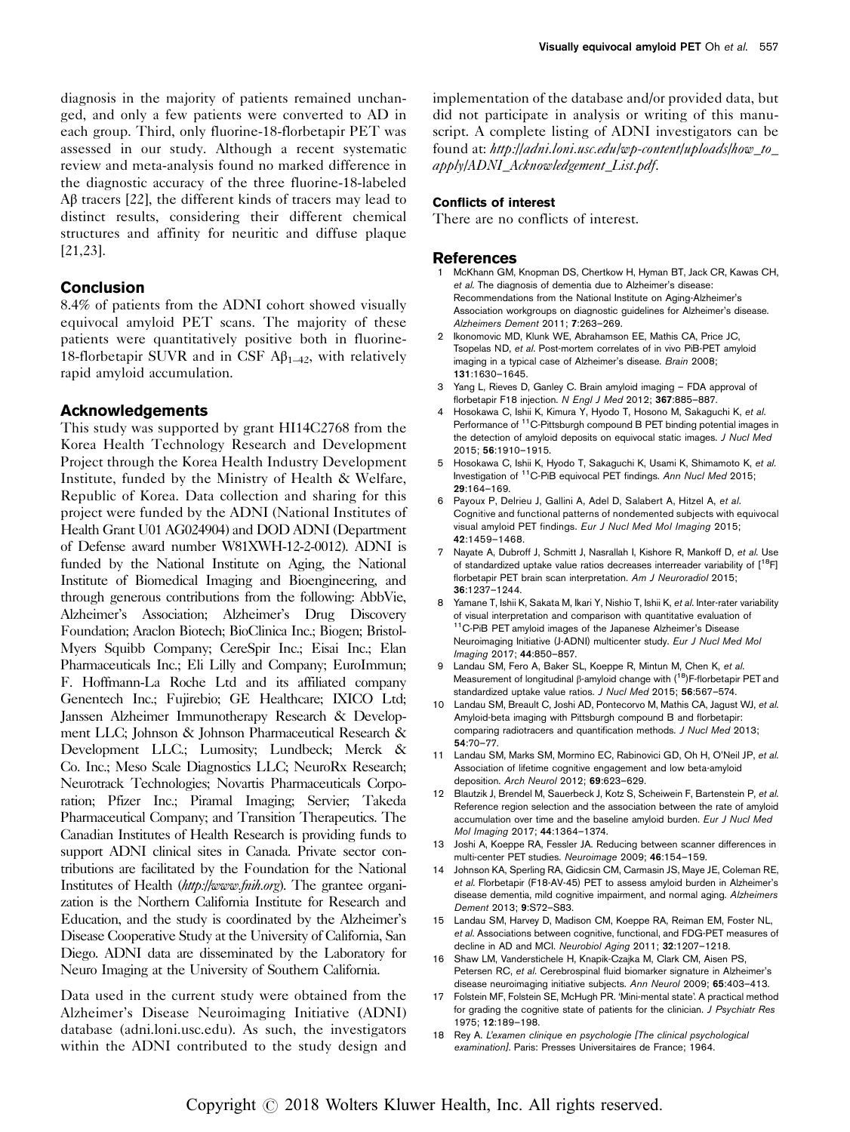diagnosis in the majority of patients remained unchanged, and only a few patients were converted to AD in each group. Third, only fluorine-18-florbetapir PET was assessed in our study. Although a recent systematic review and meta-analysis found no marked difference in the diagnostic accuracy of the three fluorine-18-labeled Aβ tracers [22], the different kinds of tracers may lead to distinct results, considering their different chemical structures and affinity for neuritic and diffuse plaque [21,23].

# **Conclusion**

8.4% of patients from the ADNI cohort showed visually equivocal amyloid PET scans. The majority of these patients were quantitatively positive both in fluorine-18-florbetapir SUVR and in CSF  $\mathbf{A}\beta_{1-42}$ , with relatively rapid amyloid accumulation.

# Acknowledgements

This study was supported by grant HI14C2768 from the Korea Health Technology Research and Development Project through the Korea Health Industry Development Institute, funded by the Ministry of Health & Welfare, Republic of Korea. Data collection and sharing for this project were funded by the ADNI (National Institutes of Health Grant U01 AG024904) and DOD ADNI (Department of Defense award number W81XWH-12-2-0012). ADNI is funded by the National Institute on Aging, the National Institute of Biomedical Imaging and Bioengineering, and through generous contributions from the following: AbbVie, Alzheimer's Association; Alzheimer's Drug Discovery Foundation; Araclon Biotech; BioClinica Inc.; Biogen; Bristol-Myers Squibb Company; CereSpir Inc.; Eisai Inc.; Elan Pharmaceuticals Inc.; Eli Lilly and Company; EuroImmun; F. Hoffmann-La Roche Ltd and its affiliated company Genentech Inc.; Fujirebio; GE Healthcare; IXICO Ltd; Janssen Alzheimer Immunotherapy Research & Development LLC; Johnson & Johnson Pharmaceutical Research & Development LLC.; Lumosity; Lundbeck; Merck & Co. Inc.; Meso Scale Diagnostics LLC; NeuroRx Research; Neurotrack Technologies; Novartis Pharmaceuticals Corporation; Pfizer Inc.; Piramal Imaging; Servier; Takeda Pharmaceutical Company; and Transition Therapeutics. The Canadian Institutes of Health Research is providing funds to support ADNI clinical sites in Canada. Private sector contributions are facilitated by the Foundation for the National Institutes of Health (<http://www.fnih.org>). The grantee organization is the Northern California Institute for Research and Education, and the study is coordinated by the Alzheimer's Disease Cooperative Study at the University of California, San Diego. ADNI data are disseminated by the Laboratory for Neuro Imaging at the University of Southern California.

Data used in the current study were obtained from the Alzheimer's Disease Neuroimaging Initiative (ADNI) database (adni.loni.usc.edu). As such, the investigators within the ADNI contributed to the study design and

implementation of the database and/or provided data, but did not participate in analysis or writing of this manuscript. A complete listing of ADNI investigators can be found at: http://adni.loni.usc.edu/wp-content/uploads/how\_to [apply/ADNI\\_Acknowledgement\\_List.pdf](http://adni.loni.usc.edu/wp-content/uploads/how_to_apply/ADNI_Acknowledgement_List.pdf).

## Conflicts of interest

There are no conflicts of interest.

## References

- 1 McKhann GM, Knopman DS, Chertkow H, Hyman BT, Jack CR, Kawas CH, et al. The diagnosis of dementia due to Alzheimer's disease: Recommendations from the National Institute on Aging-Alzheimer's Association workgroups on diagnostic guidelines for Alzheimer's disease. Alzheimers Dement 2011; 7:263–269.
- 2 Ikonomovic MD, Klunk WE, Abrahamson EE, Mathis CA, Price JC, Tsopelas ND, et al. Post-mortem correlates of in vivo PiB-PET amyloid imaging in a typical case of Alzheimer's disease. Brain 2008; 131:1630–1645.
- 3 Yang L, Rieves D, Ganley C. Brain amyloid imaging FDA approval of florbetapir F18 injection. N Engl J Med 2012; 367:885–887.
- 4 Hosokawa C, Ishii K, Kimura Y, Hyodo T, Hosono M, Sakaguchi K, et al. Performance of <sup>11</sup>C-Pittsburgh compound B PET binding potential images in the detection of amyloid deposits on equivocal static images. J Nucl Med 2015; 56:1910–1915.
- 5 Hosokawa C, Ishii K, Hyodo T, Sakaguchi K, Usami K, Shimamoto K, et al. Investigation of 11C-PiB equivocal PET findings. Ann Nucl Med 2015; 29:164–169.
- 6 Payoux P, Delrieu J, Gallini A, Adel D, Salabert A, Hitzel A, et al. Cognitive and functional patterns of nondemented subjects with equivocal visual amyloid PET findings. Eur J Nucl Med Mol Imaging 2015; 42:1459–1468.
- 7 Nayate A, Dubroff J, Schmitt J, Nasrallah I, Kishore R, Mankoff D, et al. Use of standardized uptake value ratios decreases interreader variability of [<sup>18</sup>F] florbetapir PET brain scan interpretation. Am J Neuroradiol 2015; 36:1237–1244.
- 8 Yamane T, Ishii K, Sakata M, Ikari Y, Nishio T, Ishii K, et al. Inter-rater variability of visual interpretation and comparison with quantitative evaluation of 11C-PiB PET amyloid images of the Japanese Alzheimer's Disease Neuroimaging Initiative (J-ADNI) multicenter study. Eur J Nucl Med Mol Imaging 2017; 44:850–857.
- 9 Landau SM, Fero A, Baker SL, Koeppe R, Mintun M, Chen K, et al. Measurement of longitudinal β-amyloid change with  $(18)$ F-florbetapir PET and standardized uptake value ratios. J Nucl Med 2015; 56:567–574.
- 10 Landau SM, Breault C, Joshi AD, Pontecorvo M, Mathis CA, Jagust WJ, et al. Amyloid-beta imaging with Pittsburgh compound B and florbetapir: comparing radiotracers and quantification methods. J Nucl Med 2013; 54:70–77.
- 11 Landau SM, Marks SM, Mormino EC, Rabinovici GD, Oh H, O'Neil JP, et al. Association of lifetime cognitive engagement and low beta-amyloid deposition. Arch Neurol 2012; 69:623–629.
- 12 Blautzik J, Brendel M, Sauerbeck J, Kotz S, Scheiwein F, Bartenstein P, et al. Reference region selection and the association between the rate of amyloid accumulation over time and the baseline amyloid burden. Eur J Nucl Med Mol Imaging 2017; 44:1364–1374.
- 13 Joshi A, Koeppe RA, Fessler JA. Reducing between scanner differences in multi-center PET studies. Neuroimage 2009; 46:154–159.
- 14 Johnson KA, Sperling RA, Gidicsin CM, Carmasin JS, Maye JE, Coleman RE, et al. Florbetapir (F18-AV-45) PET to assess amyloid burden in Alzheimer's disease dementia, mild cognitive impairment, and normal aging. Alzheimers Dement 2013; 9:S72–S83.
- 15 Landau SM, Harvey D, Madison CM, Koeppe RA, Reiman EM, Foster NL, et al. Associations between cognitive, functional, and FDG-PET measures of decline in AD and MCI. Neurobiol Aging 2011; 32:1207–1218.
- 16 Shaw LM, Vanderstichele H, Knapik-Czajka M, Clark CM, Aisen PS, Petersen RC, et al. Cerebrospinal fluid biomarker signature in Alzheimer's disease neuroimaging initiative subjects. Ann Neurol 2009; 65:403–413.
- 17 Folstein MF, Folstein SE, McHugh PR. 'Mini-mental state'. A practical method for grading the cognitive state of patients for the clinician. J Psychiatr Res 1975; 12:189–198.
- 18 Rey A. L'examen clinique en psychologie [The clinical psychological examination]. Paris: Presses Universitaires de France; 1964.